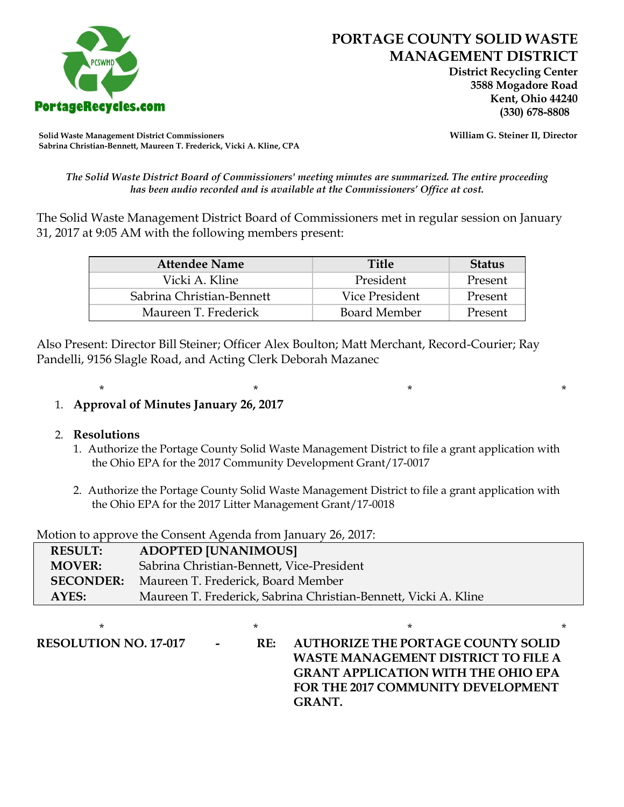

 **District Recycling Center 3588 Mogadore Road Kent, Ohio 44240**

**Solid Waste Management District Commissioners William G. Steiner II, Director Sabrina Christian-Bennett, Maureen T. Frederick, Vicki A. Kline, CPA**

*The Solid Waste District Board of Commissioners' meeting minutes are summarized. The entire proceeding has been audio recorded and is available at the Commissioners' Office at cost.*

The Solid Waste Management District Board of Commissioners met in regular session on January 31, 2017 at 9:05 AM with the following members present:

| <b>Attendee Name</b>      | <b>Title</b>   | <b>Status</b> |
|---------------------------|----------------|---------------|
| Vicki A. Kline            | President      | Present       |
| Sabrina Christian-Bennett | Vice President | Present       |
| Maureen T. Frederick      | Board Member   | Present       |

Also Present: Director Bill Steiner; Officer Alex Boulton; Matt Merchant, Record-Courier; Ray Pandelli, 9156 Slagle Road, and Acting Clerk Deborah Mazanec

## 1. **Approval of Minutes January 26, 2017**

## 2. **Resolutions**

1. Authorize the Portage County Solid Waste Management District to file a grant application with the Ohio EPA for the 2017 Community Development Grant/17-0017

\* \* \* \*

2. Authorize the Portage County Solid Waste Management District to file a grant application with the Ohio EPA for the 2017 Litter Management Grant/17-0018

Motion to approve the Consent Agenda from January 26, 2017:

| <b>RESULT:</b>   | <b>ADOPTED [UNANIMOUS]</b>                                      |
|------------------|-----------------------------------------------------------------|
| <b>MOVER:</b>    | Sabrina Christian-Bennett, Vice-President                       |
| <b>SECONDER:</b> | Maureen T. Frederick, Board Member                              |
| AYES:            | Maureen T. Frederick, Sabrina Christian-Bennett, Vicki A. Kline |

\* \* \* \* **RESOLUTION NO. 17-017 - RE: AUTHORIZE THE PORTAGE COUNTY SOLID WASTE MANAGEMENT DISTRICT TO FILE A GRANT APPLICATION WITH THE OHIO EPA FOR THE 2017 COMMUNITY DEVELOPMENT GRANT.**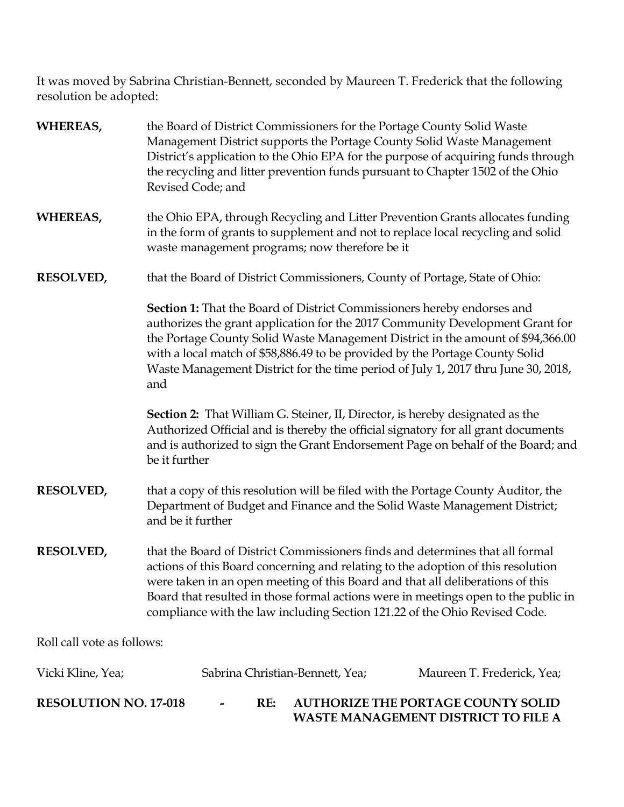It was moved by Sabrina Christian-Bennett, seconded by Maureen T. Frederick that the following resolution be adopted:

| <b>WHEREAS,</b>              | the Board of District Commissioners for the Portage County Solid Waste<br>Management District supports the Portage County Solid Waste Management<br>District's application to the Ohio EPA for the purpose of acquiring funds through<br>the recycling and litter prevention funds pursuant to Chapter 1502 of the Ohio<br>Revised Code; and                                                                                   |                                           |  |
|------------------------------|--------------------------------------------------------------------------------------------------------------------------------------------------------------------------------------------------------------------------------------------------------------------------------------------------------------------------------------------------------------------------------------------------------------------------------|-------------------------------------------|--|
| <b>WHEREAS,</b>              | the Ohio EPA, through Recycling and Litter Prevention Grants allocates funding<br>in the form of grants to supplement and not to replace local recycling and solid<br>waste management programs; now therefore be it                                                                                                                                                                                                           |                                           |  |
| <b>RESOLVED,</b>             | that the Board of District Commissioners, County of Portage, State of Ohio:                                                                                                                                                                                                                                                                                                                                                    |                                           |  |
|                              | <b>Section 1:</b> That the Board of District Commissioners hereby endorses and<br>authorizes the grant application for the 2017 Community Development Grant for<br>the Portage County Solid Waste Management District in the amount of \$94,366.00<br>with a local match of \$58,886.49 to be provided by the Portage County Solid<br>Waste Management District for the time period of July 1, 2017 thru June 30, 2018,<br>and |                                           |  |
|                              | <b>Section 2:</b> That William G. Steiner, II, Director, is hereby designated as the<br>Authorized Official and is thereby the official signatory for all grant documents<br>and is authorized to sign the Grant Endorsement Page on behalf of the Board; and<br>be it further                                                                                                                                                 |                                           |  |
| <b>RESOLVED,</b>             | that a copy of this resolution will be filed with the Portage County Auditor, the<br>Department of Budget and Finance and the Solid Waste Management District;<br>and be it further                                                                                                                                                                                                                                            |                                           |  |
| <b>RESOLVED,</b>             | that the Board of District Commissioners finds and determines that all formal<br>actions of this Board concerning and relating to the adoption of this resolution<br>were taken in an open meeting of this Board and that all deliberations of this<br>Board that resulted in those formal actions were in meetings open to the public in<br>compliance with the law including Section 121.22 of the Ohio Revised Code.        |                                           |  |
| Roll call vote as follows:   |                                                                                                                                                                                                                                                                                                                                                                                                                                |                                           |  |
| Vicki Kline, Yea;            | Sabrina Christian-Bennett, Yea;                                                                                                                                                                                                                                                                                                                                                                                                | Maureen T. Frederick, Yea;                |  |
| <b>RESOLUTION NO. 17-018</b> | RE:                                                                                                                                                                                                                                                                                                                                                                                                                            | <b>AUTHORIZE THE PORTAGE COUNTY SOLID</b> |  |

**WASTE MANAGEMENT DISTRICT TO FILE A**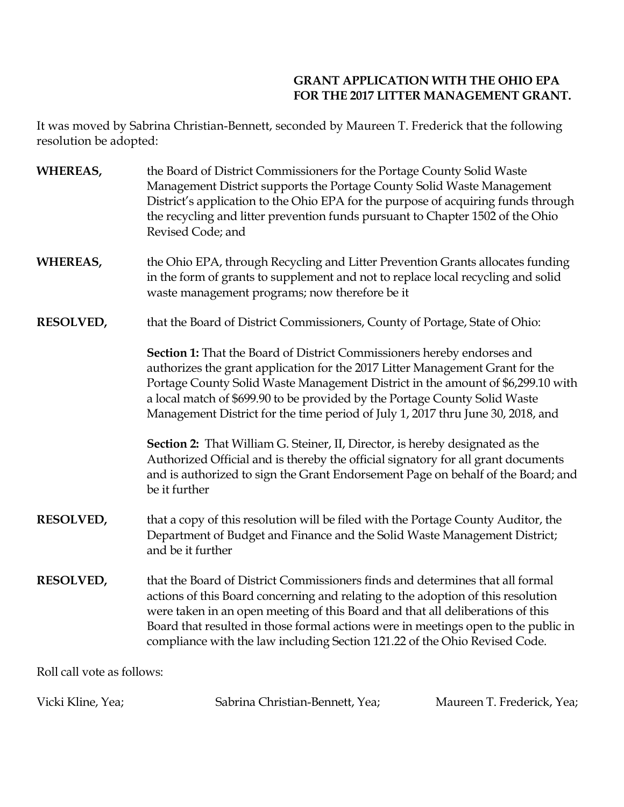## **GRANT APPLICATION WITH THE OHIO EPA FOR THE 2017 LITTER MANAGEMENT GRANT.**

It was moved by Sabrina Christian-Bennett, seconded by Maureen T. Frederick that the following resolution be adopted:

| WHEREAS,                   | the Board of District Commissioners for the Portage County Solid Waste<br>Management District supports the Portage County Solid Waste Management<br>District's application to the Ohio EPA for the purpose of acquiring funds through<br>the recycling and litter prevention funds pursuant to Chapter 1502 of the Ohio<br>Revised Code; and                                                                            |
|----------------------------|-------------------------------------------------------------------------------------------------------------------------------------------------------------------------------------------------------------------------------------------------------------------------------------------------------------------------------------------------------------------------------------------------------------------------|
| WHEREAS,                   | the Ohio EPA, through Recycling and Litter Prevention Grants allocates funding<br>in the form of grants to supplement and not to replace local recycling and solid<br>waste management programs; now therefore be it                                                                                                                                                                                                    |
| <b>RESOLVED,</b>           | that the Board of District Commissioners, County of Portage, State of Ohio:                                                                                                                                                                                                                                                                                                                                             |
|                            | Section 1: That the Board of District Commissioners hereby endorses and<br>authorizes the grant application for the 2017 Litter Management Grant for the<br>Portage County Solid Waste Management District in the amount of \$6,299.10 with<br>a local match of \$699.90 to be provided by the Portage County Solid Waste<br>Management District for the time period of July 1, 2017 thru June 30, 2018, and            |
|                            | <b>Section 2:</b> That William G. Steiner, II, Director, is hereby designated as the<br>Authorized Official and is thereby the official signatory for all grant documents<br>and is authorized to sign the Grant Endorsement Page on behalf of the Board; and<br>be it further                                                                                                                                          |
| <b>RESOLVED,</b>           | that a copy of this resolution will be filed with the Portage County Auditor, the<br>Department of Budget and Finance and the Solid Waste Management District;<br>and be it further                                                                                                                                                                                                                                     |
| <b>RESOLVED,</b>           | that the Board of District Commissioners finds and determines that all formal<br>actions of this Board concerning and relating to the adoption of this resolution<br>were taken in an open meeting of this Board and that all deliberations of this<br>Board that resulted in those formal actions were in meetings open to the public in<br>compliance with the law including Section 121.22 of the Ohio Revised Code. |
| Roll call vote as follows: |                                                                                                                                                                                                                                                                                                                                                                                                                         |

| Vicki Kline, Yea; | Sabrina Christian-Bennett, Yea; | Maureen T. Frederick, Yea; |
|-------------------|---------------------------------|----------------------------|
|                   |                                 |                            |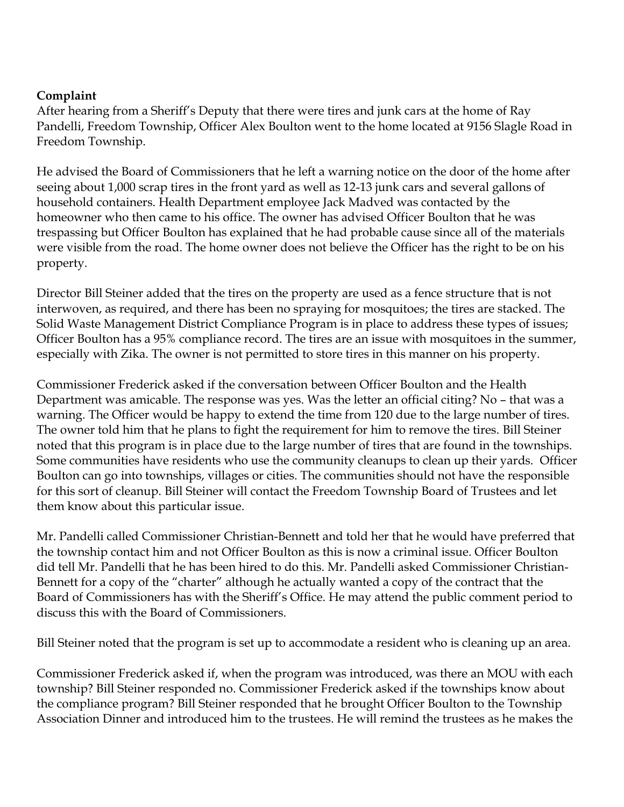## **Complaint**

After hearing from a Sheriff's Deputy that there were tires and junk cars at the home of Ray Pandelli, Freedom Township, Officer Alex Boulton went to the home located at 9156 Slagle Road in Freedom Township.

He advised the Board of Commissioners that he left a warning notice on the door of the home after seeing about 1,000 scrap tires in the front yard as well as 12-13 junk cars and several gallons of household containers. Health Department employee Jack Madved was contacted by the homeowner who then came to his office. The owner has advised Officer Boulton that he was trespassing but Officer Boulton has explained that he had probable cause since all of the materials were visible from the road. The home owner does not believe the Officer has the right to be on his property.

Director Bill Steiner added that the tires on the property are used as a fence structure that is not interwoven, as required, and there has been no spraying for mosquitoes; the tires are stacked. The Solid Waste Management District Compliance Program is in place to address these types of issues; Officer Boulton has a 95% compliance record. The tires are an issue with mosquitoes in the summer, especially with Zika. The owner is not permitted to store tires in this manner on his property.

Commissioner Frederick asked if the conversation between Officer Boulton and the Health Department was amicable. The response was yes. Was the letter an official citing? No – that was a warning. The Officer would be happy to extend the time from 120 due to the large number of tires. The owner told him that he plans to fight the requirement for him to remove the tires. Bill Steiner noted that this program is in place due to the large number of tires that are found in the townships. Some communities have residents who use the community cleanups to clean up their yards. Officer Boulton can go into townships, villages or cities. The communities should not have the responsible for this sort of cleanup. Bill Steiner will contact the Freedom Township Board of Trustees and let them know about this particular issue.

Mr. Pandelli called Commissioner Christian-Bennett and told her that he would have preferred that the township contact him and not Officer Boulton as this is now a criminal issue. Officer Boulton did tell Mr. Pandelli that he has been hired to do this. Mr. Pandelli asked Commissioner Christian-Bennett for a copy of the "charter" although he actually wanted a copy of the contract that the Board of Commissioners has with the Sheriff's Office. He may attend the public comment period to discuss this with the Board of Commissioners.

Bill Steiner noted that the program is set up to accommodate a resident who is cleaning up an area.

Commissioner Frederick asked if, when the program was introduced, was there an MOU with each township? Bill Steiner responded no. Commissioner Frederick asked if the townships know about the compliance program? Bill Steiner responded that he brought Officer Boulton to the Township Association Dinner and introduced him to the trustees. He will remind the trustees as he makes the